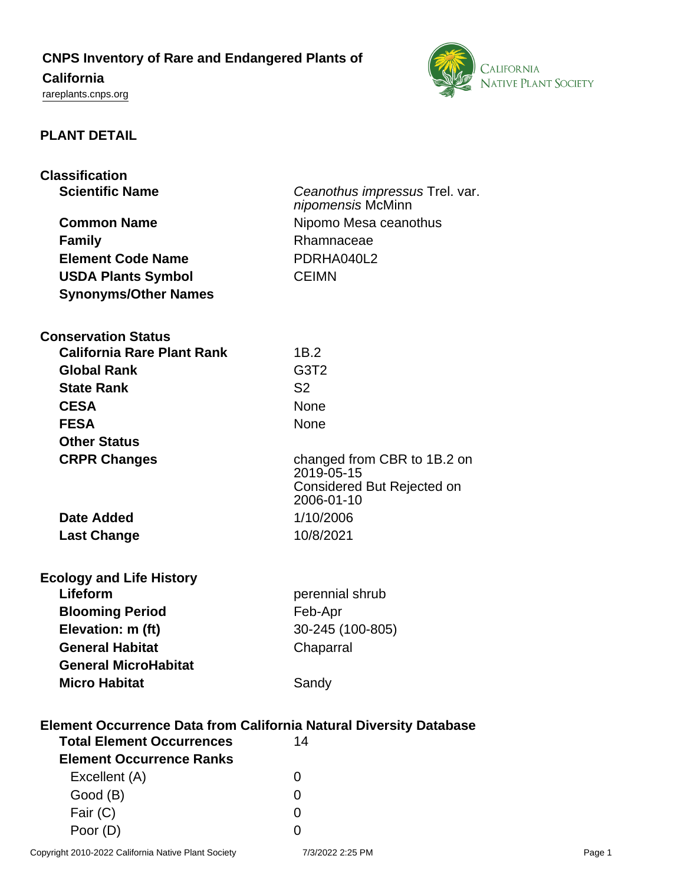## **CNPS Inventory of Rare and Endangered Plants of**

# **California**

<rareplants.cnps.org>



### **PLANT DETAIL**

| <b>Classification</b>                                                                                        |                                          |
|--------------------------------------------------------------------------------------------------------------|------------------------------------------|
| <b>Scientific Name</b>                                                                                       | Ceanothus impressus Trel. var.           |
|                                                                                                              | nipomensis McMinn                        |
| <b>Common Name</b>                                                                                           | Nipomo Mesa ceanothus                    |
| <b>Family</b>                                                                                                | Rhamnaceae                               |
| <b>Element Code Name</b>                                                                                     | PDRHA040L2                               |
| <b>USDA Plants Symbol</b>                                                                                    | <b>CEIMN</b>                             |
| <b>Synonyms/Other Names</b>                                                                                  |                                          |
|                                                                                                              |                                          |
| <b>Conservation Status</b>                                                                                   |                                          |
| <b>California Rare Plant Rank</b>                                                                            | 1B.2                                     |
| <b>Global Rank</b>                                                                                           | G <sub>3</sub> T <sub>2</sub>            |
| <b>State Rank</b>                                                                                            | S <sub>2</sub>                           |
| <b>CESA</b>                                                                                                  | <b>None</b>                              |
| <b>FESA</b>                                                                                                  | <b>None</b>                              |
| <b>Other Status</b>                                                                                          |                                          |
| <b>CRPR Changes</b>                                                                                          | changed from CBR to 1B.2 on              |
|                                                                                                              | 2019-05-15                               |
|                                                                                                              | Considered But Rejected on<br>2006-01-10 |
| Date Added                                                                                                   | 1/10/2006                                |
| <b>Last Change</b>                                                                                           | 10/8/2021                                |
|                                                                                                              |                                          |
| <b>Ecology and Life History</b>                                                                              |                                          |
| Lifeform                                                                                                     | perennial shrub                          |
| <b>Blooming Period</b>                                                                                       | Feb-Apr                                  |
| Elevation: m (ft)                                                                                            | 30-245 (100-805)                         |
| <b>General Habitat</b>                                                                                       | Chaparral                                |
| <b>General MicroHabitat</b>                                                                                  |                                          |
| <b>Micro Habitat</b>                                                                                         | Sandy                                    |
|                                                                                                              |                                          |
| Element Occurrence Data from California Natural Diversity Database<br><b>Total Element Occurrences</b><br>14 |                                          |
| <b>Element Occurrence Ranks</b>                                                                              |                                          |
| Excellent (A)                                                                                                | $\Omega$                                 |
| Good (B)                                                                                                     | 0                                        |
| Fair (C)                                                                                                     | 0                                        |
| Poor (D)                                                                                                     | 0                                        |
|                                                                                                              |                                          |